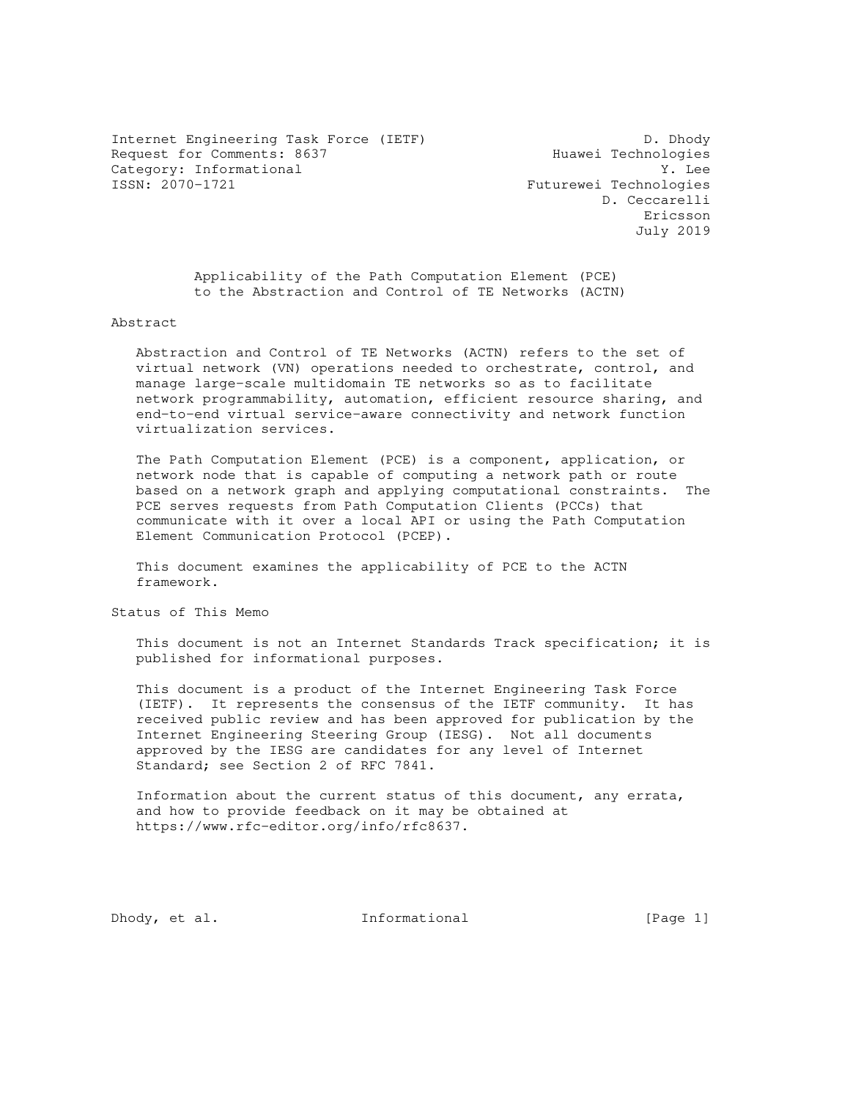Internet Engineering Task Force (IETF) D. Dhody Request for Comments: 8637 Huawei Technologies Category: Informational  $Y.$  Lee<br>
ISSN: 2070-1721 Futurewei Technologies

Futurewei Technologies D. Ceccarelli Ericsson July 2019

 Applicability of the Path Computation Element (PCE) to the Abstraction and Control of TE Networks (ACTN)

Abstract

 Abstraction and Control of TE Networks (ACTN) refers to the set of virtual network (VN) operations needed to orchestrate, control, and manage large-scale multidomain TE networks so as to facilitate network programmability, automation, efficient resource sharing, and end-to-end virtual service-aware connectivity and network function virtualization services.

 The Path Computation Element (PCE) is a component, application, or network node that is capable of computing a network path or route based on a network graph and applying computational constraints. The PCE serves requests from Path Computation Clients (PCCs) that communicate with it over a local API or using the Path Computation Element Communication Protocol (PCEP).

 This document examines the applicability of PCE to the ACTN framework.

Status of This Memo

 This document is not an Internet Standards Track specification; it is published for informational purposes.

 This document is a product of the Internet Engineering Task Force (IETF). It represents the consensus of the IETF community. It has received public review and has been approved for publication by the Internet Engineering Steering Group (IESG). Not all documents approved by the IESG are candidates for any level of Internet Standard; see Section 2 of RFC 7841.

 Information about the current status of this document, any errata, and how to provide feedback on it may be obtained at https://www.rfc-editor.org/info/rfc8637.

Dhody, et al. 10. Informational [Page 1]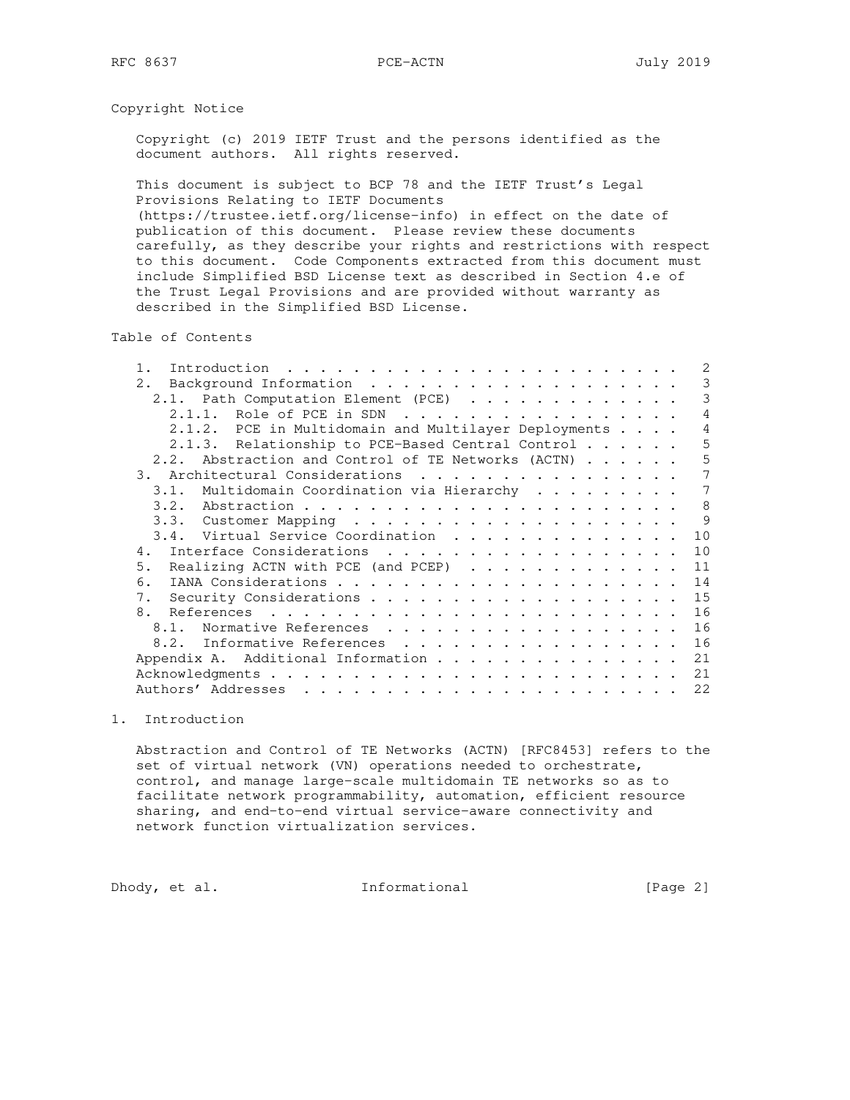## Copyright Notice

 Copyright (c) 2019 IETF Trust and the persons identified as the document authors. All rights reserved.

 This document is subject to BCP 78 and the IETF Trust's Legal Provisions Relating to IETF Documents

 (https://trustee.ietf.org/license-info) in effect on the date of publication of this document. Please review these documents carefully, as they describe your rights and restrictions with respect to this document. Code Components extracted from this document must include Simplified BSD License text as described in Section 4.e of the Trust Legal Provisions and are provided without warranty as described in the Simplified BSD License.

Table of Contents

|             |                                                      | 2  |
|-------------|------------------------------------------------------|----|
| 2.          |                                                      | 3  |
|             | 2.1. Path Computation Element (PCE)                  | 3  |
|             | 2.1.1. Role of PCE in SDN                            | 4  |
|             | 2.1.2. PCE in Multidomain and Multilayer Deployments | 4  |
|             | 2.1.3. Relationship to PCE-Based Central Control     | 5  |
|             | 2.2. Abstraction and Control of TE Networks (ACTN)   | 5  |
|             | 3.<br>Architectural Considerations                   | 7  |
|             | 3.1. Multidomain Coordination via Hierarchy          | 7  |
|             |                                                      | 8  |
|             |                                                      | 9  |
|             | 3.4. Virtual Service Coordination                    | 10 |
| 4.          | Interface Considerations                             | 10 |
| 5.          | Realizing ACTN with PCE (and PCEP)                   | 11 |
| 6.          |                                                      | 14 |
| $7_{\odot}$ |                                                      | 15 |
|             | 8.                                                   | 16 |
|             | Normative References<br>8.1.                         | 16 |
|             | 8.2. Informative References                          | 16 |
|             | Appendix A. Additional Information                   | 21 |
|             |                                                      | 21 |
|             | Authors' Addresses                                   | 22 |

#### 1. Introduction

 Abstraction and Control of TE Networks (ACTN) [RFC8453] refers to the set of virtual network (VN) operations needed to orchestrate, control, and manage large-scale multidomain TE networks so as to facilitate network programmability, automation, efficient resource sharing, and end-to-end virtual service-aware connectivity and network function virtualization services.

Dhody, et al. 1nformational [Page 2]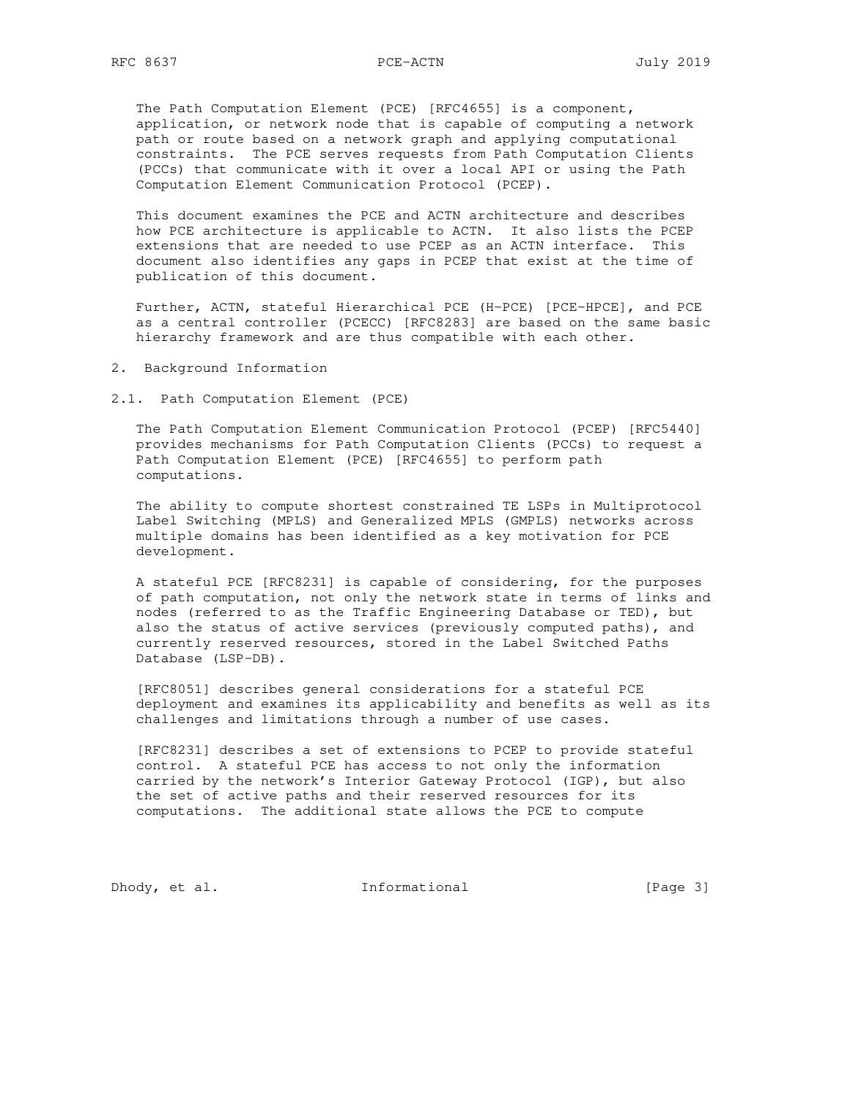The Path Computation Element (PCE) [RFC4655] is a component, application, or network node that is capable of computing a network path or route based on a network graph and applying computational constraints. The PCE serves requests from Path Computation Clients (PCCs) that communicate with it over a local API or using the Path Computation Element Communication Protocol (PCEP).

 This document examines the PCE and ACTN architecture and describes how PCE architecture is applicable to ACTN. It also lists the PCEP extensions that are needed to use PCEP as an ACTN interface. This document also identifies any gaps in PCEP that exist at the time of publication of this document.

 Further, ACTN, stateful Hierarchical PCE (H-PCE) [PCE-HPCE], and PCE as a central controller (PCECC) [RFC8283] are based on the same basic hierarchy framework and are thus compatible with each other.

- 2. Background Information
- 2.1. Path Computation Element (PCE)

 The Path Computation Element Communication Protocol (PCEP) [RFC5440] provides mechanisms for Path Computation Clients (PCCs) to request a Path Computation Element (PCE) [RFC4655] to perform path computations.

 The ability to compute shortest constrained TE LSPs in Multiprotocol Label Switching (MPLS) and Generalized MPLS (GMPLS) networks across multiple domains has been identified as a key motivation for PCE development.

 A stateful PCE [RFC8231] is capable of considering, for the purposes of path computation, not only the network state in terms of links and nodes (referred to as the Traffic Engineering Database or TED), but also the status of active services (previously computed paths), and currently reserved resources, stored in the Label Switched Paths Database (LSP-DB).

 [RFC8051] describes general considerations for a stateful PCE deployment and examines its applicability and benefits as well as its challenges and limitations through a number of use cases.

 [RFC8231] describes a set of extensions to PCEP to provide stateful control. A stateful PCE has access to not only the information carried by the network's Interior Gateway Protocol (IGP), but also the set of active paths and their reserved resources for its computations. The additional state allows the PCE to compute

Dhody, et al. 1nformational [Page 3]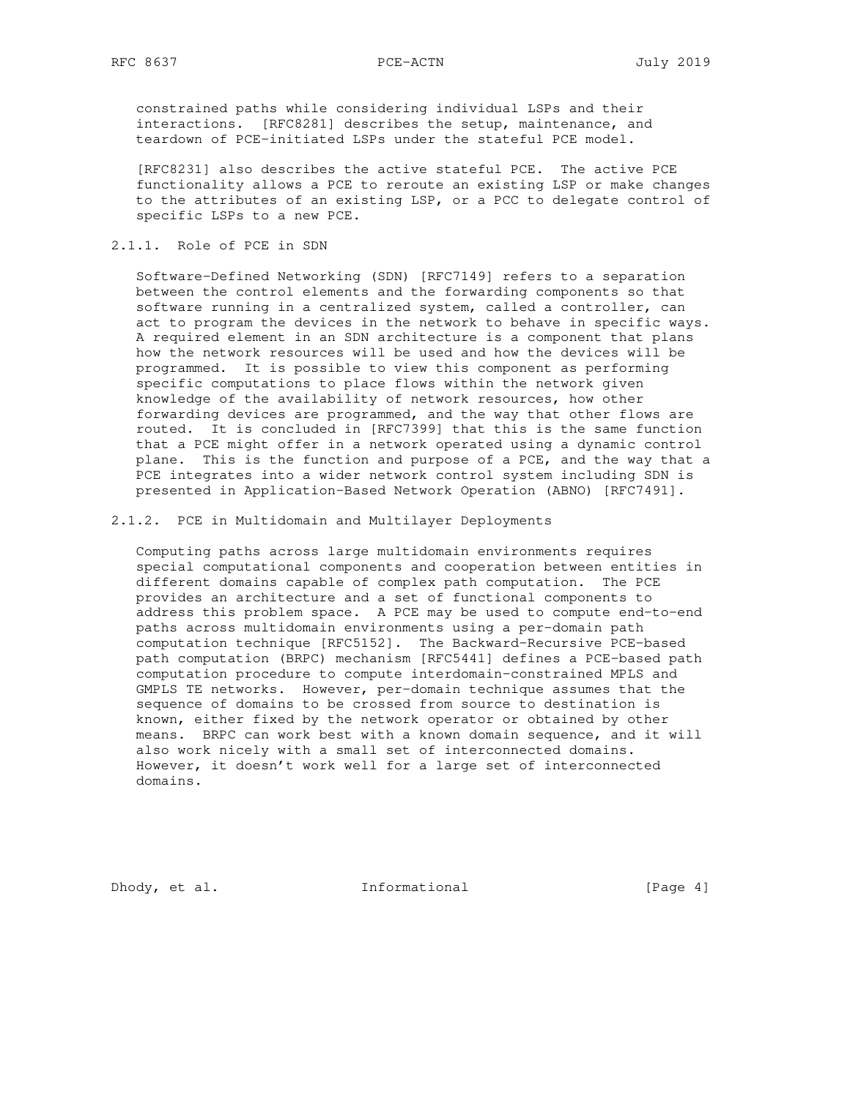constrained paths while considering individual LSPs and their interactions. [RFC8281] describes the setup, maintenance, and teardown of PCE-initiated LSPs under the stateful PCE model.

 [RFC8231] also describes the active stateful PCE. The active PCE functionality allows a PCE to reroute an existing LSP or make changes to the attributes of an existing LSP, or a PCC to delegate control of specific LSPs to a new PCE.

### 2.1.1. Role of PCE in SDN

 Software-Defined Networking (SDN) [RFC7149] refers to a separation between the control elements and the forwarding components so that software running in a centralized system, called a controller, can act to program the devices in the network to behave in specific ways. A required element in an SDN architecture is a component that plans how the network resources will be used and how the devices will be programmed. It is possible to view this component as performing specific computations to place flows within the network given knowledge of the availability of network resources, how other forwarding devices are programmed, and the way that other flows are routed. It is concluded in [RFC7399] that this is the same function that a PCE might offer in a network operated using a dynamic control plane. This is the function and purpose of a PCE, and the way that a PCE integrates into a wider network control system including SDN is presented in Application-Based Network Operation (ABNO) [RFC7491].

### 2.1.2. PCE in Multidomain and Multilayer Deployments

 Computing paths across large multidomain environments requires special computational components and cooperation between entities in different domains capable of complex path computation. The PCE provides an architecture and a set of functional components to address this problem space. A PCE may be used to compute end-to-end paths across multidomain environments using a per-domain path computation technique [RFC5152]. The Backward-Recursive PCE-based path computation (BRPC) mechanism [RFC5441] defines a PCE-based path computation procedure to compute interdomain-constrained MPLS and GMPLS TE networks. However, per-domain technique assumes that the sequence of domains to be crossed from source to destination is known, either fixed by the network operator or obtained by other means. BRPC can work best with a known domain sequence, and it will also work nicely with a small set of interconnected domains. However, it doesn't work well for a large set of interconnected domains.

Dhody, et al. 1nformational [Page 4]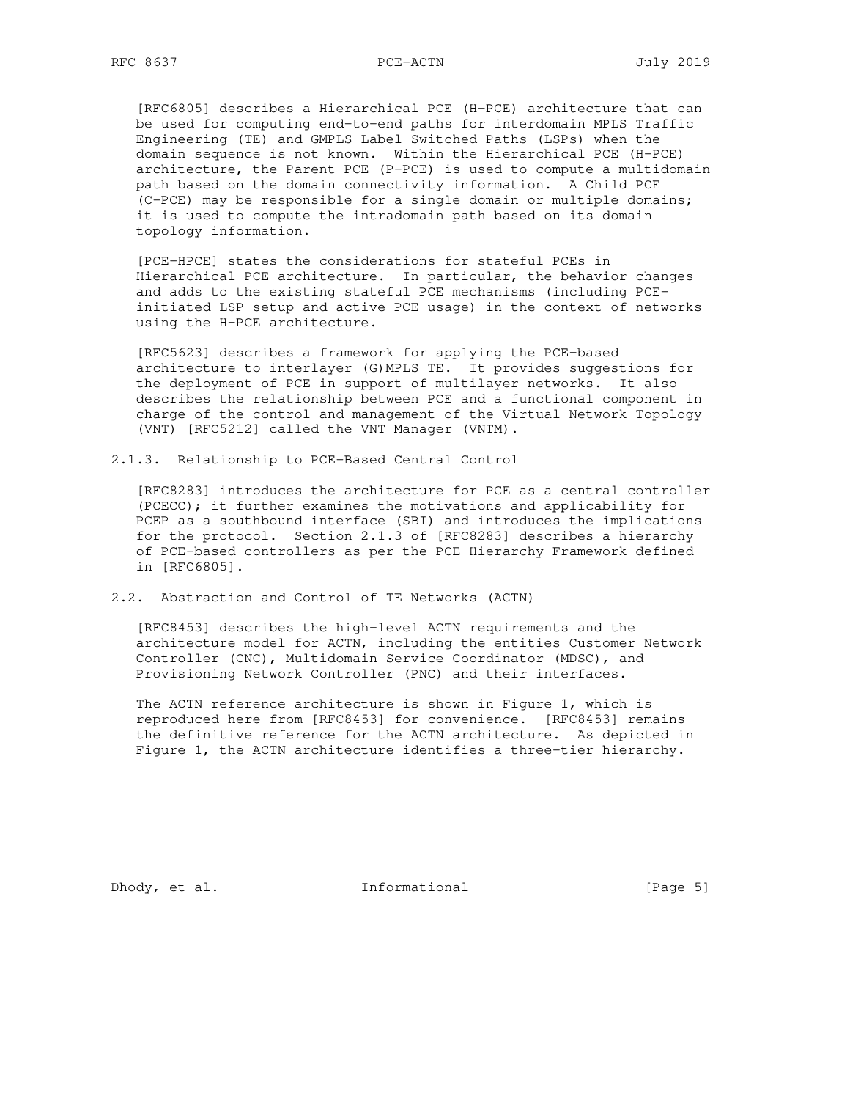[RFC6805] describes a Hierarchical PCE (H-PCE) architecture that can be used for computing end-to-end paths for interdomain MPLS Traffic Engineering (TE) and GMPLS Label Switched Paths (LSPs) when the domain sequence is not known. Within the Hierarchical PCE (H-PCE) architecture, the Parent PCE (P-PCE) is used to compute a multidomain path based on the domain connectivity information. A Child PCE (C-PCE) may be responsible for a single domain or multiple domains; it is used to compute the intradomain path based on its domain topology information.

 [PCE-HPCE] states the considerations for stateful PCEs in Hierarchical PCE architecture. In particular, the behavior changes and adds to the existing stateful PCE mechanisms (including PCE initiated LSP setup and active PCE usage) in the context of networks using the H-PCE architecture.

 [RFC5623] describes a framework for applying the PCE-based architecture to interlayer (G)MPLS TE. It provides suggestions for the deployment of PCE in support of multilayer networks. It also describes the relationship between PCE and a functional component in charge of the control and management of the Virtual Network Topology (VNT) [RFC5212] called the VNT Manager (VNTM).

2.1.3. Relationship to PCE-Based Central Control

 [RFC8283] introduces the architecture for PCE as a central controller (PCECC); it further examines the motivations and applicability for PCEP as a southbound interface (SBI) and introduces the implications for the protocol. Section 2.1.3 of [RFC8283] describes a hierarchy of PCE-based controllers as per the PCE Hierarchy Framework defined in [RFC6805].

2.2. Abstraction and Control of TE Networks (ACTN)

 [RFC8453] describes the high-level ACTN requirements and the architecture model for ACTN, including the entities Customer Network Controller (CNC), Multidomain Service Coordinator (MDSC), and Provisioning Network Controller (PNC) and their interfaces.

 The ACTN reference architecture is shown in Figure 1, which is reproduced here from [RFC8453] for convenience. [RFC8453] remains the definitive reference for the ACTN architecture. As depicted in Figure 1, the ACTN architecture identifies a three-tier hierarchy.

Dhody, et al. 1nformational [Page 5]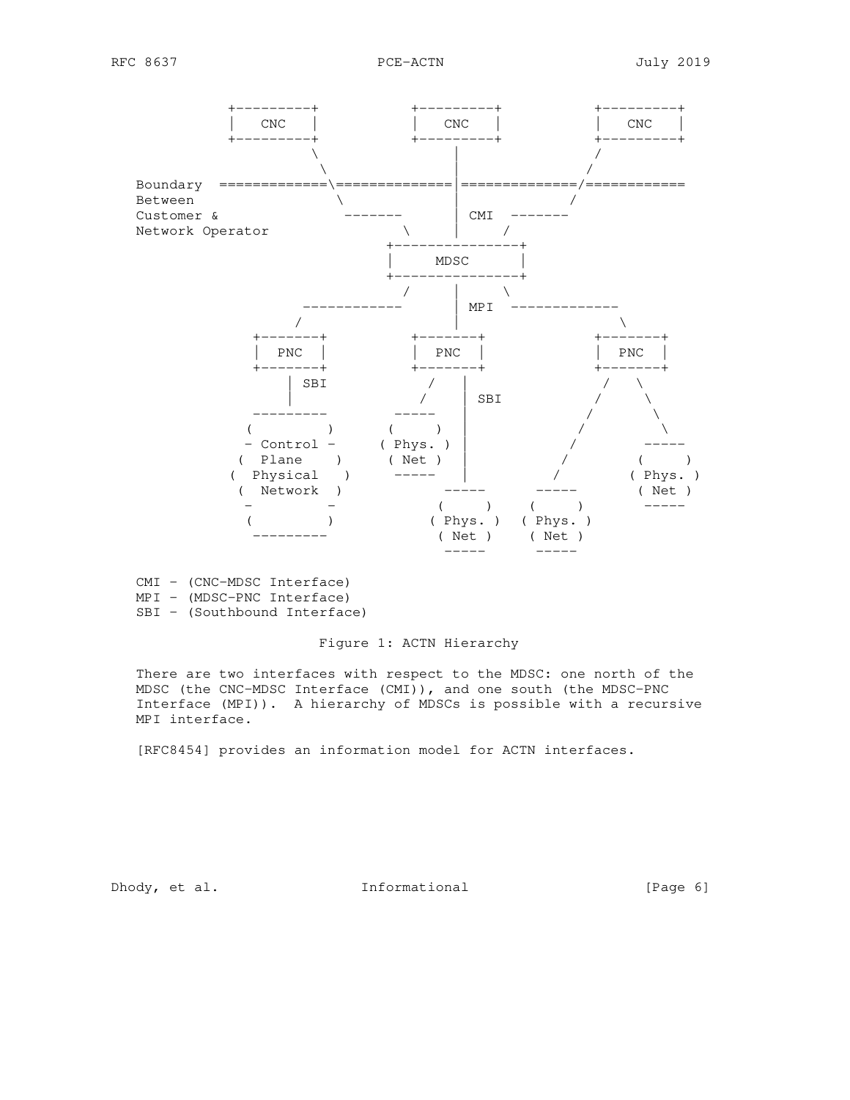

 CMI - (CNC-MDSC Interface) MPI - (MDSC-PNC Interface) SBI - (Southbound Interface)

## Figure 1: ACTN Hierarchy

 There are two interfaces with respect to the MDSC: one north of the MDSC (the CNC-MDSC Interface (CMI)), and one south (the MDSC-PNC Interface (MPI)). A hierarchy of MDSCs is possible with a recursive MPI interface.

[RFC8454] provides an information model for ACTN interfaces.

Dhody, et al. 1nformational [Page 6]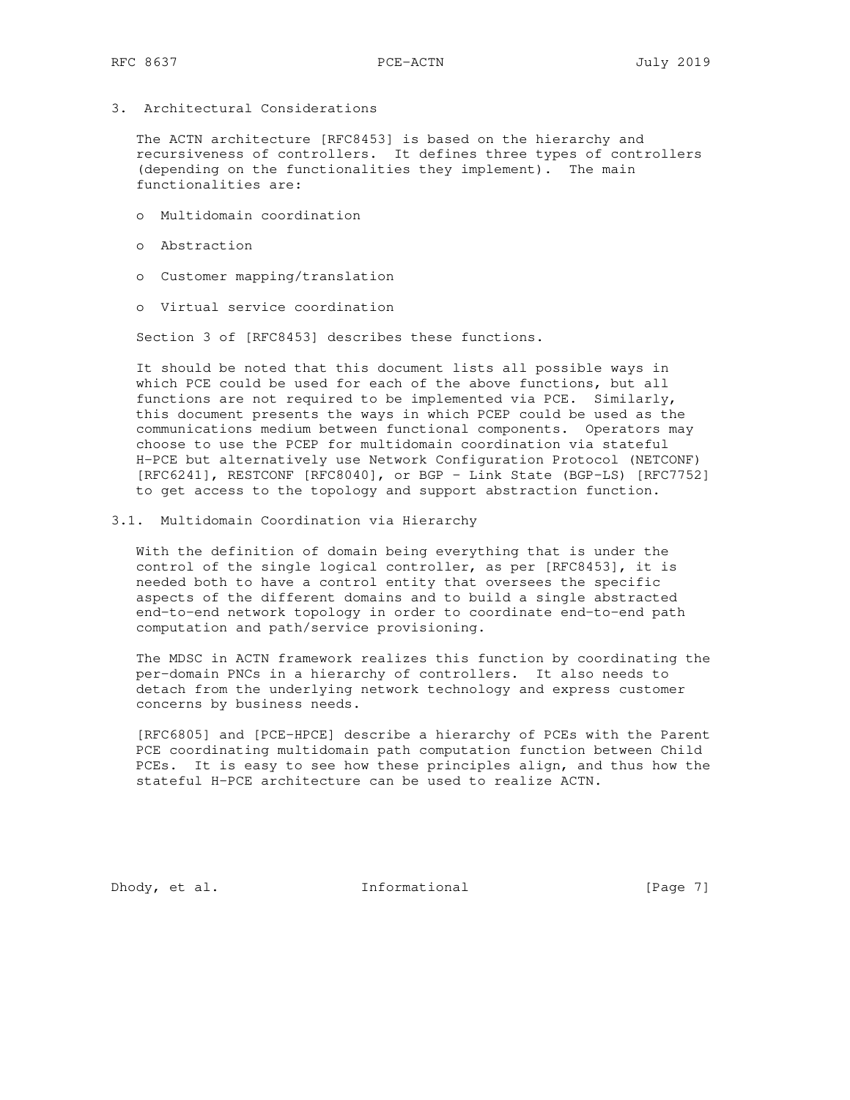3. Architectural Considerations

 The ACTN architecture [RFC8453] is based on the hierarchy and recursiveness of controllers. It defines three types of controllers (depending on the functionalities they implement). The main functionalities are:

- o Multidomain coordination
- o Abstraction
- o Customer mapping/translation
- o Virtual service coordination

Section 3 of [RFC8453] describes these functions.

 It should be noted that this document lists all possible ways in which PCE could be used for each of the above functions, but all functions are not required to be implemented via PCE. Similarly, this document presents the ways in which PCEP could be used as the communications medium between functional components. Operators may choose to use the PCEP for multidomain coordination via stateful H-PCE but alternatively use Network Configuration Protocol (NETCONF) [RFC6241], RESTCONF [RFC8040], or BGP - Link State (BGP-LS) [RFC7752] to get access to the topology and support abstraction function.

3.1. Multidomain Coordination via Hierarchy

 With the definition of domain being everything that is under the control of the single logical controller, as per [RFC8453], it is needed both to have a control entity that oversees the specific aspects of the different domains and to build a single abstracted end-to-end network topology in order to coordinate end-to-end path computation and path/service provisioning.

 The MDSC in ACTN framework realizes this function by coordinating the per-domain PNCs in a hierarchy of controllers. It also needs to detach from the underlying network technology and express customer concerns by business needs.

 [RFC6805] and [PCE-HPCE] describe a hierarchy of PCEs with the Parent PCE coordinating multidomain path computation function between Child PCEs. It is easy to see how these principles align, and thus how the stateful H-PCE architecture can be used to realize ACTN.

Dhody, et al. Informational [Page 7]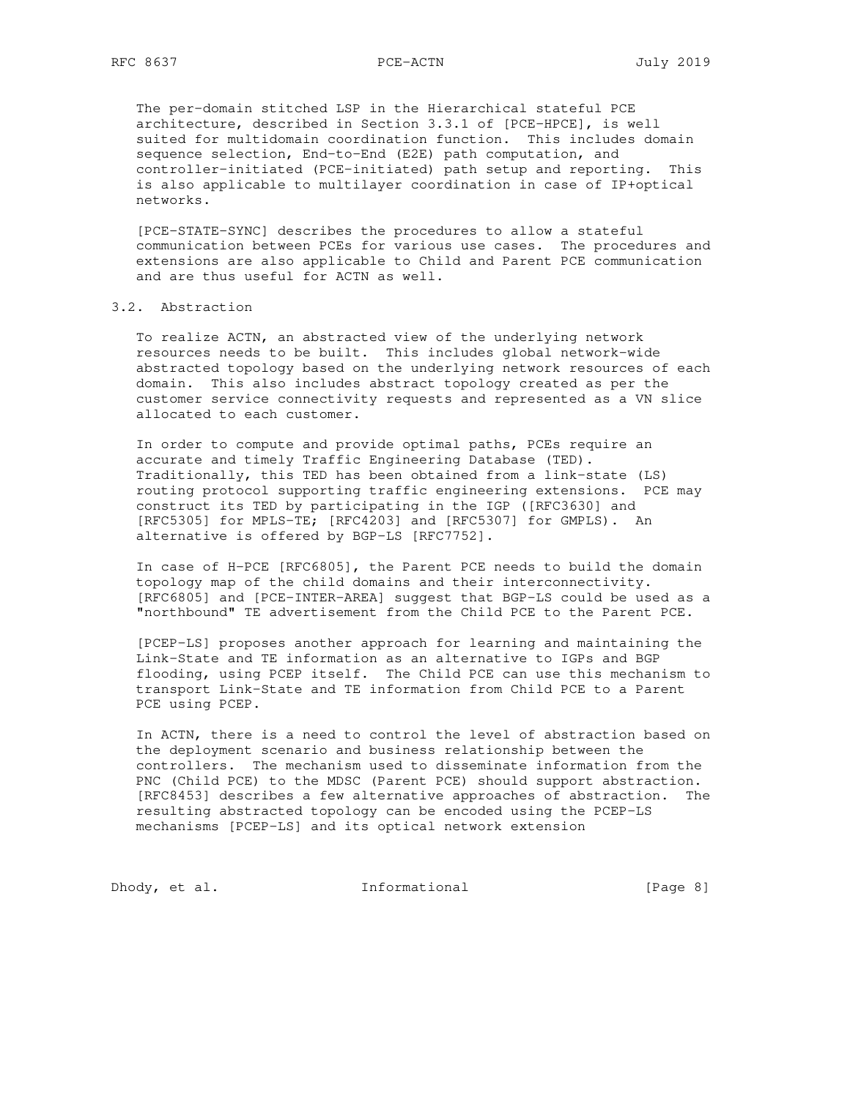The per-domain stitched LSP in the Hierarchical stateful PCE architecture, described in Section 3.3.1 of [PCE-HPCE], is well suited for multidomain coordination function. This includes domain sequence selection, End-to-End (E2E) path computation, and controller-initiated (PCE-initiated) path setup and reporting. This is also applicable to multilayer coordination in case of IP+optical networks.

 [PCE-STATE-SYNC] describes the procedures to allow a stateful communication between PCEs for various use cases. The procedures and extensions are also applicable to Child and Parent PCE communication and are thus useful for ACTN as well.

## 3.2. Abstraction

 To realize ACTN, an abstracted view of the underlying network resources needs to be built. This includes global network-wide abstracted topology based on the underlying network resources of each domain. This also includes abstract topology created as per the customer service connectivity requests and represented as a VN slice allocated to each customer.

 In order to compute and provide optimal paths, PCEs require an accurate and timely Traffic Engineering Database (TED). Traditionally, this TED has been obtained from a link-state (LS) routing protocol supporting traffic engineering extensions. PCE may construct its TED by participating in the IGP ([RFC3630] and [RFC5305] for MPLS-TE; [RFC4203] and [RFC5307] for GMPLS). An alternative is offered by BGP-LS [RFC7752].

 In case of H-PCE [RFC6805], the Parent PCE needs to build the domain topology map of the child domains and their interconnectivity. [RFC6805] and [PCE-INTER-AREA] suggest that BGP-LS could be used as a "northbound" TE advertisement from the Child PCE to the Parent PCE.

 [PCEP-LS] proposes another approach for learning and maintaining the Link-State and TE information as an alternative to IGPs and BGP flooding, using PCEP itself. The Child PCE can use this mechanism to transport Link-State and TE information from Child PCE to a Parent PCE using PCEP.

 In ACTN, there is a need to control the level of abstraction based on the deployment scenario and business relationship between the controllers. The mechanism used to disseminate information from the PNC (Child PCE) to the MDSC (Parent PCE) should support abstraction. [RFC8453] describes a few alternative approaches of abstraction. The resulting abstracted topology can be encoded using the PCEP-LS mechanisms [PCEP-LS] and its optical network extension

Dhody, et al. 1nformational [Page 8]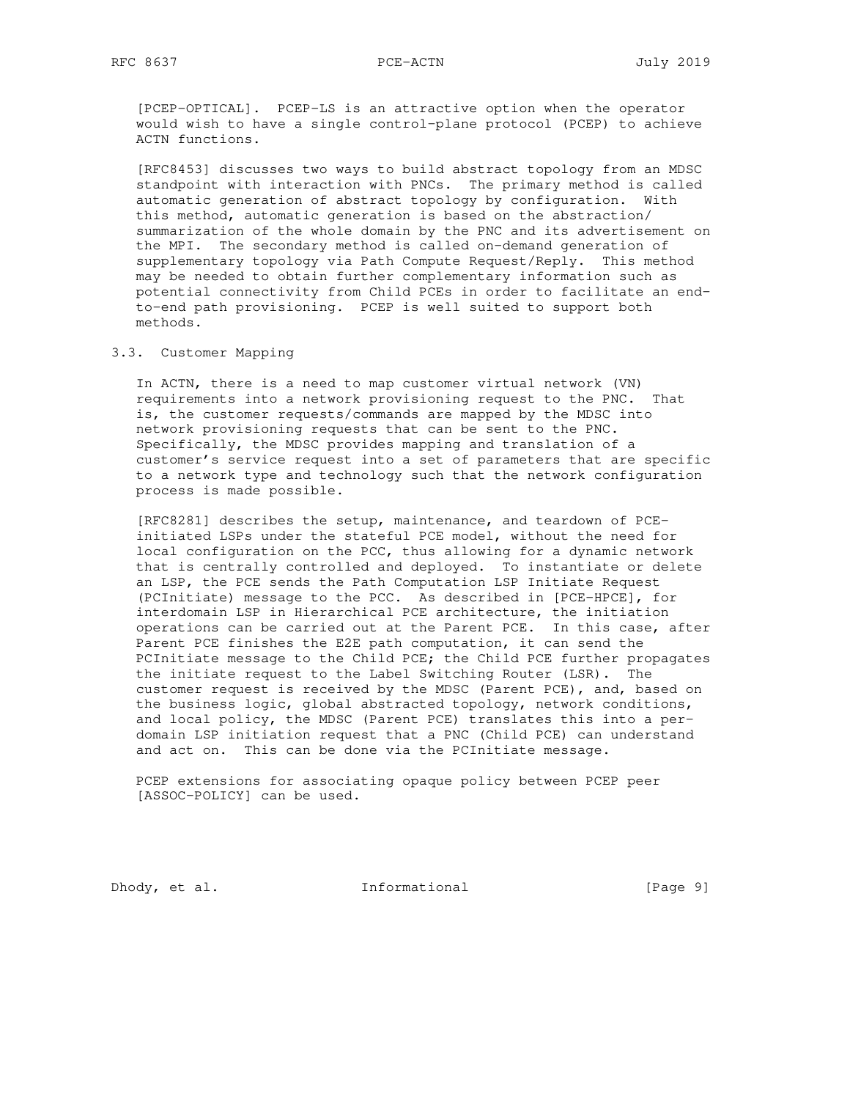[PCEP-OPTICAL]. PCEP-LS is an attractive option when the operator would wish to have a single control-plane protocol (PCEP) to achieve ACTN functions.

 [RFC8453] discusses two ways to build abstract topology from an MDSC standpoint with interaction with PNCs. The primary method is called automatic generation of abstract topology by configuration. With this method, automatic generation is based on the abstraction/ summarization of the whole domain by the PNC and its advertisement on the MPI. The secondary method is called on-demand generation of supplementary topology via Path Compute Request/Reply. This method may be needed to obtain further complementary information such as potential connectivity from Child PCEs in order to facilitate an end to-end path provisioning. PCEP is well suited to support both methods.

## 3.3. Customer Mapping

 In ACTN, there is a need to map customer virtual network (VN) requirements into a network provisioning request to the PNC. That is, the customer requests/commands are mapped by the MDSC into network provisioning requests that can be sent to the PNC. Specifically, the MDSC provides mapping and translation of a customer's service request into a set of parameters that are specific to a network type and technology such that the network configuration process is made possible.

 [RFC8281] describes the setup, maintenance, and teardown of PCE initiated LSPs under the stateful PCE model, without the need for local configuration on the PCC, thus allowing for a dynamic network that is centrally controlled and deployed. To instantiate or delete an LSP, the PCE sends the Path Computation LSP Initiate Request (PCInitiate) message to the PCC. As described in [PCE-HPCE], for interdomain LSP in Hierarchical PCE architecture, the initiation operations can be carried out at the Parent PCE. In this case, after Parent PCE finishes the E2E path computation, it can send the PCInitiate message to the Child PCE; the Child PCE further propagates the initiate request to the Label Switching Router (LSR). The customer request is received by the MDSC (Parent PCE), and, based on the business logic, global abstracted topology, network conditions, and local policy, the MDSC (Parent PCE) translates this into a per domain LSP initiation request that a PNC (Child PCE) can understand and act on. This can be done via the PCInitiate message.

 PCEP extensions for associating opaque policy between PCEP peer [ASSOC-POLICY] can be used.

Dhody, et al. 1nformational [Page 9]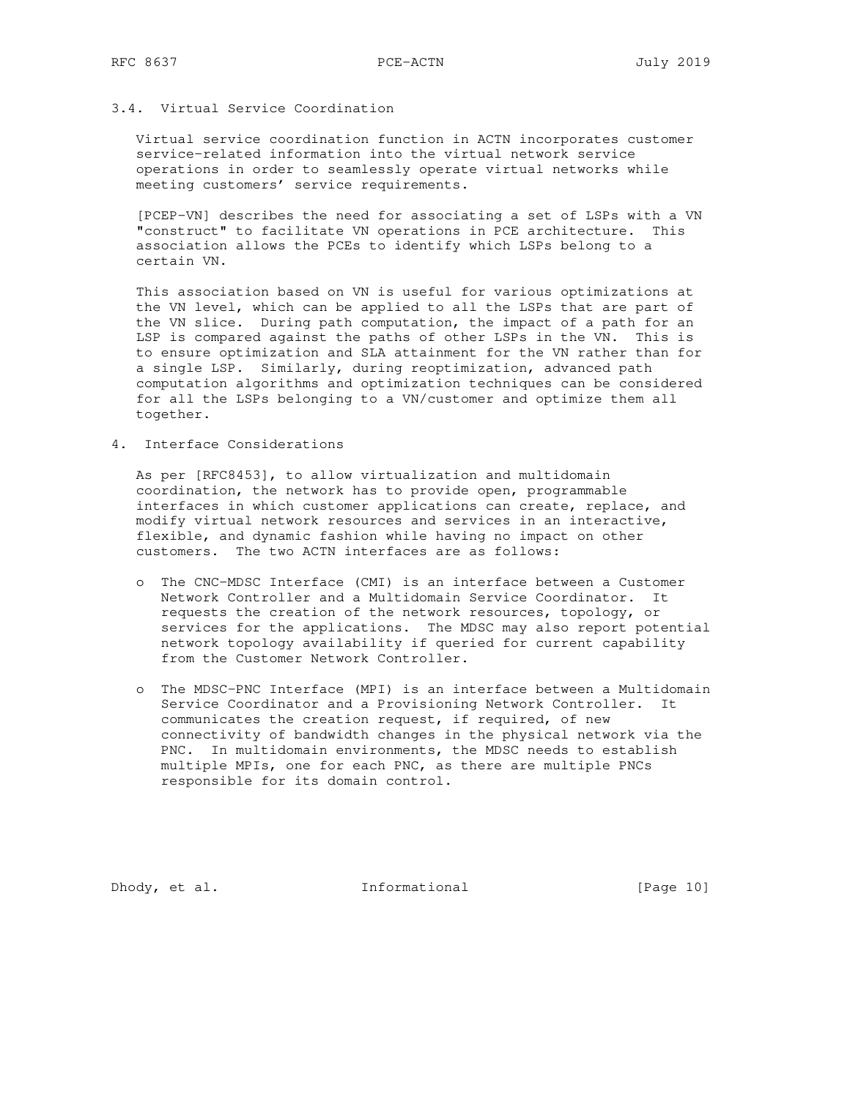# 3.4. Virtual Service Coordination

 Virtual service coordination function in ACTN incorporates customer service-related information into the virtual network service operations in order to seamlessly operate virtual networks while meeting customers' service requirements.

 [PCEP-VN] describes the need for associating a set of LSPs with a VN "construct" to facilitate VN operations in PCE architecture. This association allows the PCEs to identify which LSPs belong to a certain VN.

 This association based on VN is useful for various optimizations at the VN level, which can be applied to all the LSPs that are part of the VN slice. During path computation, the impact of a path for an LSP is compared against the paths of other LSPs in the VN. This is to ensure optimization and SLA attainment for the VN rather than for a single LSP. Similarly, during reoptimization, advanced path computation algorithms and optimization techniques can be considered for all the LSPs belonging to a VN/customer and optimize them all together.

4. Interface Considerations

 As per [RFC8453], to allow virtualization and multidomain coordination, the network has to provide open, programmable interfaces in which customer applications can create, replace, and modify virtual network resources and services in an interactive, flexible, and dynamic fashion while having no impact on other customers. The two ACTN interfaces are as follows:

- o The CNC-MDSC Interface (CMI) is an interface between a Customer Network Controller and a Multidomain Service Coordinator. It requests the creation of the network resources, topology, or services for the applications. The MDSC may also report potential network topology availability if queried for current capability from the Customer Network Controller.
- o The MDSC-PNC Interface (MPI) is an interface between a Multidomain Service Coordinator and a Provisioning Network Controller. It communicates the creation request, if required, of new connectivity of bandwidth changes in the physical network via the PNC. In multidomain environments, the MDSC needs to establish multiple MPIs, one for each PNC, as there are multiple PNCs responsible for its domain control.

Dhody, et al. 1nformational [Page 10]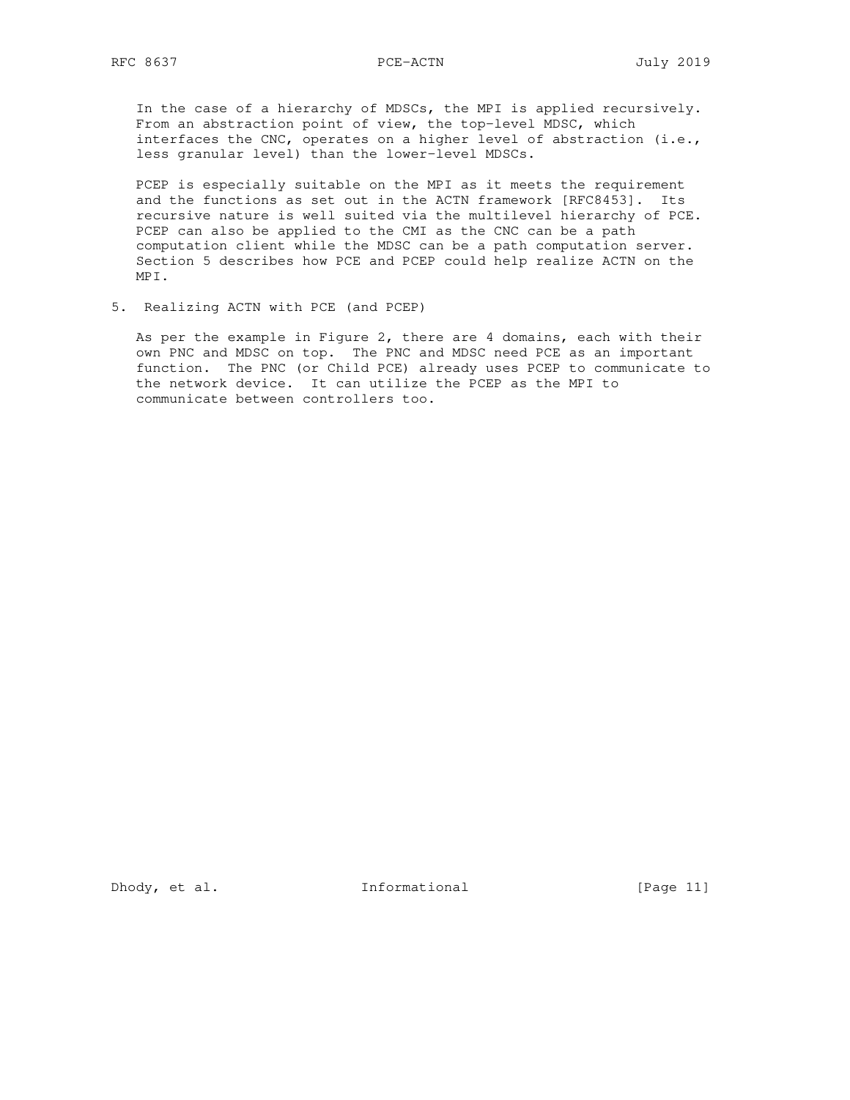In the case of a hierarchy of MDSCs, the MPI is applied recursively. From an abstraction point of view, the top-level MDSC, which interfaces the CNC, operates on a higher level of abstraction (i.e., less granular level) than the lower-level MDSCs.

 PCEP is especially suitable on the MPI as it meets the requirement and the functions as set out in the ACTN framework [RFC8453]. Its recursive nature is well suited via the multilevel hierarchy of PCE. PCEP can also be applied to the CMI as the CNC can be a path computation client while the MDSC can be a path computation server. Section 5 describes how PCE and PCEP could help realize ACTN on the MPI.

5. Realizing ACTN with PCE (and PCEP)

 As per the example in Figure 2, there are 4 domains, each with their own PNC and MDSC on top. The PNC and MDSC need PCE as an important function. The PNC (or Child PCE) already uses PCEP to communicate to the network device. It can utilize the PCEP as the MPI to communicate between controllers too.

Dhody, et al. Informational [Page 11]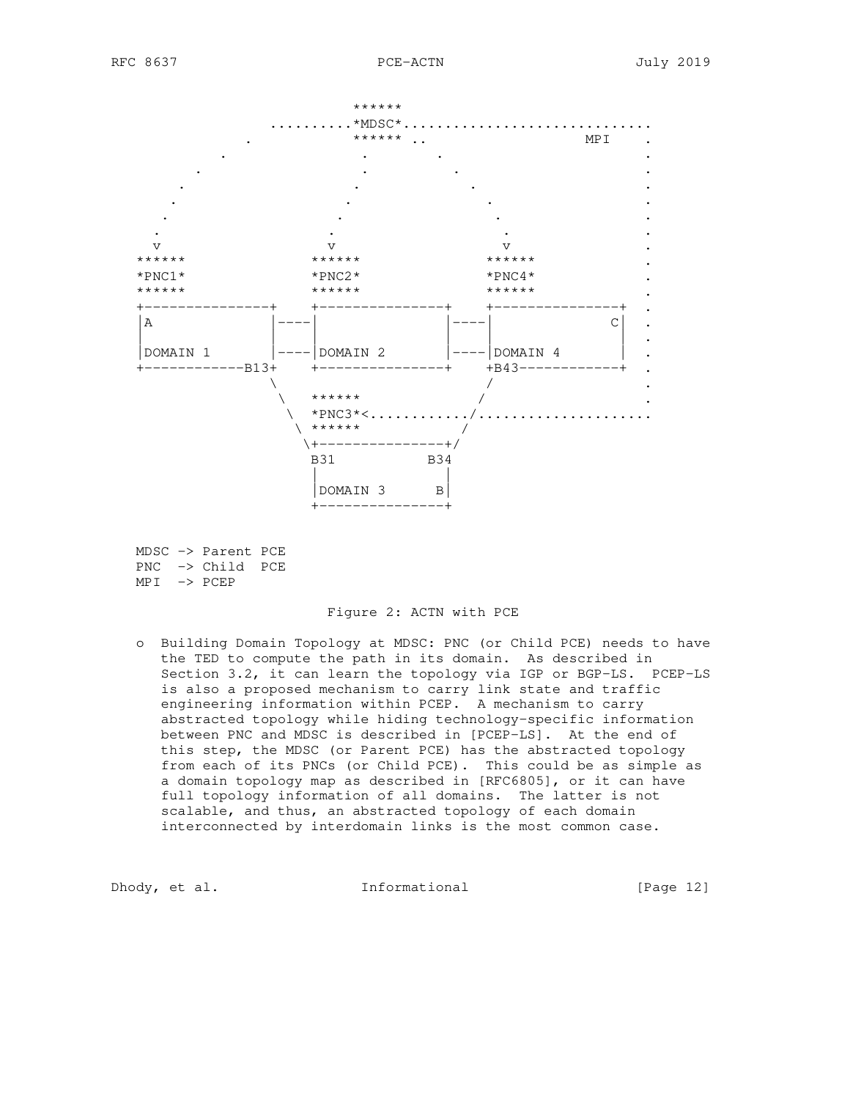

 MDSC -> Parent PCE PNC -> Child PCE  $MPI \rightarrow PCEP$ 

#### Figure 2: ACTN with PCE

 o Building Domain Topology at MDSC: PNC (or Child PCE) needs to have the TED to compute the path in its domain. As described in Section 3.2, it can learn the topology via IGP or BGP-LS. PCEP-LS is also a proposed mechanism to carry link state and traffic engineering information within PCEP. A mechanism to carry abstracted topology while hiding technology-specific information between PNC and MDSC is described in [PCEP-LS]. At the end of this step, the MDSC (or Parent PCE) has the abstracted topology from each of its PNCs (or Child PCE). This could be as simple as a domain topology map as described in [RFC6805], or it can have full topology information of all domains. The latter is not scalable, and thus, an abstracted topology of each domain interconnected by interdomain links is the most common case.

Dhody, et al. 10 Informational 10 [Page 12]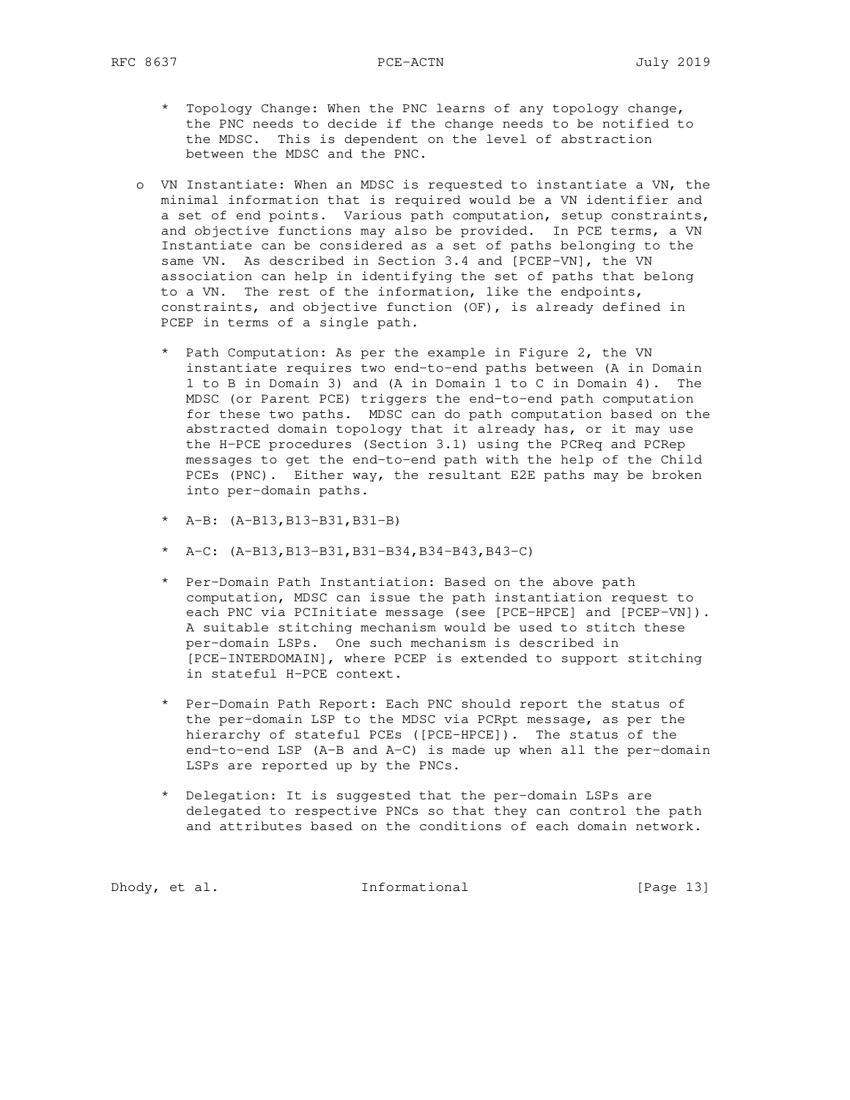- \* Topology Change: When the PNC learns of any topology change, the PNC needs to decide if the change needs to be notified to the MDSC. This is dependent on the level of abstraction between the MDSC and the PNC.
- o VN Instantiate: When an MDSC is requested to instantiate a VN, the minimal information that is required would be a VN identifier and a set of end points. Various path computation, setup constraints, and objective functions may also be provided. In PCE terms, a VN Instantiate can be considered as a set of paths belonging to the same VN. As described in Section 3.4 and [PCEP-VN], the VN association can help in identifying the set of paths that belong to a VN. The rest of the information, like the endpoints, constraints, and objective function (OF), is already defined in PCEP in terms of a single path.
	- \* Path Computation: As per the example in Figure 2, the VN instantiate requires two end-to-end paths between (A in Domain 1 to B in Domain 3) and (A in Domain 1 to C in Domain 4). The MDSC (or Parent PCE) triggers the end-to-end path computation for these two paths. MDSC can do path computation based on the abstracted domain topology that it already has, or it may use the H-PCE procedures (Section 3.1) using the PCReq and PCRep messages to get the end-to-end path with the help of the Child PCEs (PNC). Either way, the resultant E2E paths may be broken into per-domain paths.
	- \* A-B: (A-B13,B13-B31,B31-B)
	- \* A-C:  $(A-B13,B13-B31,B31-B34,B34-B43,B43-C)$
	- \* Per-Domain Path Instantiation: Based on the above path computation, MDSC can issue the path instantiation request to each PNC via PCInitiate message (see [PCE-HPCE] and [PCEP-VN]). A suitable stitching mechanism would be used to stitch these per-domain LSPs. One such mechanism is described in [PCE-INTERDOMAIN], where PCEP is extended to support stitching in stateful H-PCE context.
	- \* Per-Domain Path Report: Each PNC should report the status of the per-domain LSP to the MDSC via PCRpt message, as per the hierarchy of stateful PCEs ([PCE-HPCE]). The status of the end-to-end LSP (A-B and A-C) is made up when all the per-domain LSPs are reported up by the PNCs.
	- \* Delegation: It is suggested that the per-domain LSPs are delegated to respective PNCs so that they can control the path and attributes based on the conditions of each domain network.

Dhody, et al. 10 Informational 1999 [Page 13]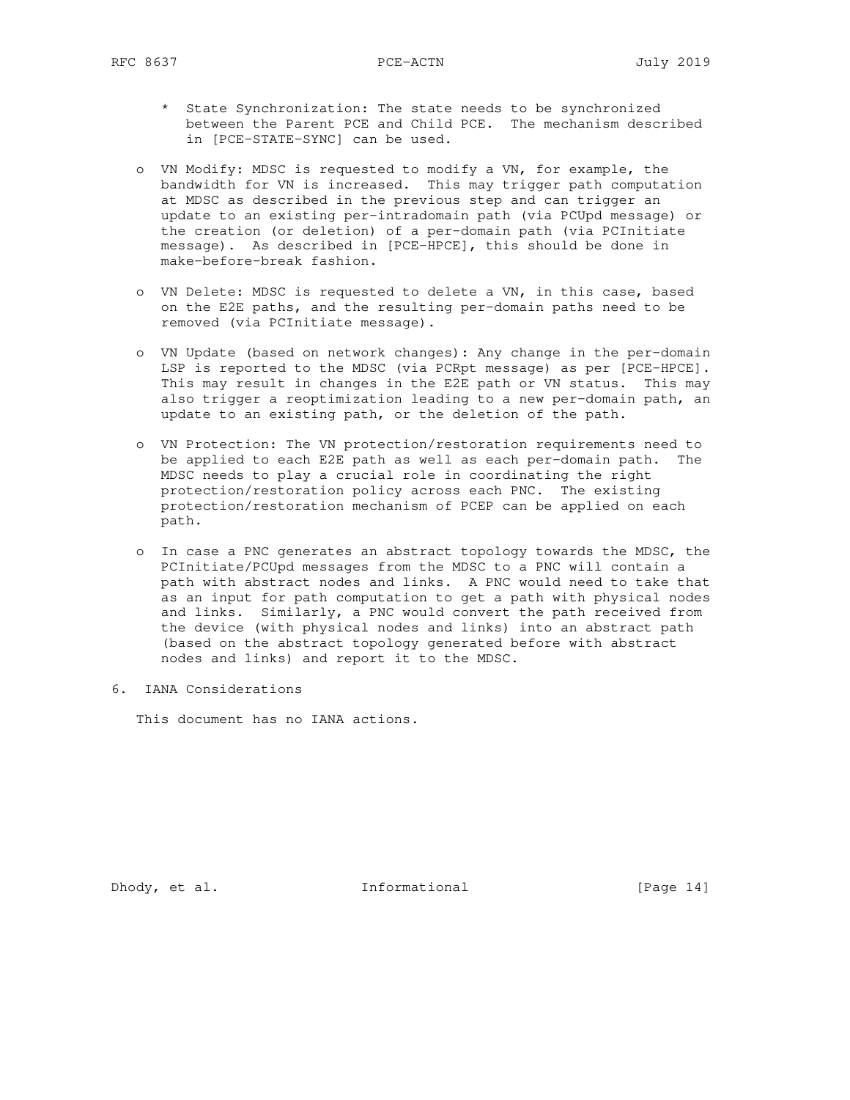- \* State Synchronization: The state needs to be synchronized between the Parent PCE and Child PCE. The mechanism described in [PCE-STATE-SYNC] can be used.
- o VN Modify: MDSC is requested to modify a VN, for example, the bandwidth for VN is increased. This may trigger path computation at MDSC as described in the previous step and can trigger an update to an existing per-intradomain path (via PCUpd message) or the creation (or deletion) of a per-domain path (via PCInitiate message). As described in [PCE-HPCE], this should be done in make-before-break fashion.
- o VN Delete: MDSC is requested to delete a VN, in this case, based on the E2E paths, and the resulting per-domain paths need to be removed (via PCInitiate message).
- o VN Update (based on network changes): Any change in the per-domain LSP is reported to the MDSC (via PCRpt message) as per [PCE-HPCE]. This may result in changes in the E2E path or VN status. This may also trigger a reoptimization leading to a new per-domain path, an update to an existing path, or the deletion of the path.
- o VN Protection: The VN protection/restoration requirements need to be applied to each E2E path as well as each per-domain path. The MDSC needs to play a crucial role in coordinating the right protection/restoration policy across each PNC. The existing protection/restoration mechanism of PCEP can be applied on each path.
	- o In case a PNC generates an abstract topology towards the MDSC, the PCInitiate/PCUpd messages from the MDSC to a PNC will contain a path with abstract nodes and links. A PNC would need to take that as an input for path computation to get a path with physical nodes and links. Similarly, a PNC would convert the path received from the device (with physical nodes and links) into an abstract path (based on the abstract topology generated before with abstract nodes and links) and report it to the MDSC.
- 6. IANA Considerations

This document has no IANA actions.

Dhody, et al. 1nformational [Page 14]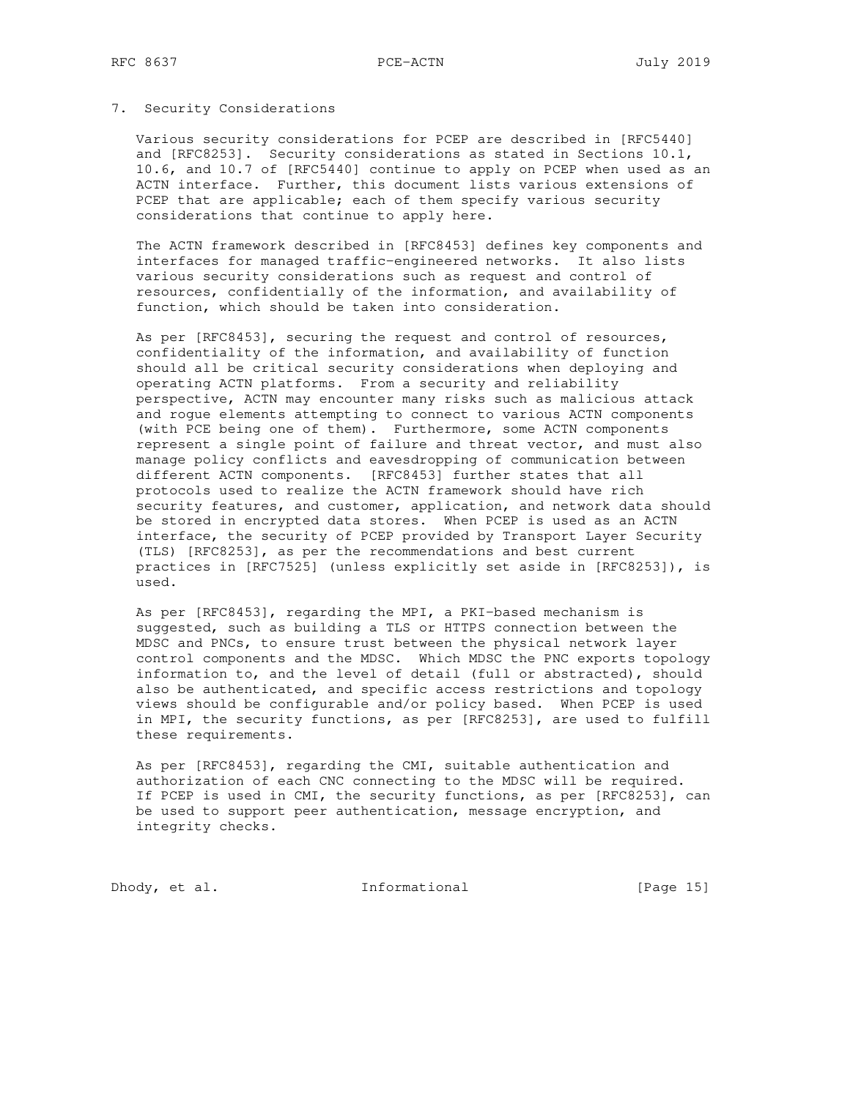#### 7. Security Considerations

 Various security considerations for PCEP are described in [RFC5440] and [RFC8253]. Security considerations as stated in Sections 10.1, 10.6, and 10.7 of [RFC5440] continue to apply on PCEP when used as an ACTN interface. Further, this document lists various extensions of PCEP that are applicable; each of them specify various security considerations that continue to apply here.

 The ACTN framework described in [RFC8453] defines key components and interfaces for managed traffic-engineered networks. It also lists various security considerations such as request and control of resources, confidentially of the information, and availability of function, which should be taken into consideration.

 As per [RFC8453], securing the request and control of resources, confidentiality of the information, and availability of function should all be critical security considerations when deploying and operating ACTN platforms. From a security and reliability perspective, ACTN may encounter many risks such as malicious attack and rogue elements attempting to connect to various ACTN components (with PCE being one of them). Furthermore, some ACTN components represent a single point of failure and threat vector, and must also manage policy conflicts and eavesdropping of communication between different ACTN components. [RFC8453] further states that all protocols used to realize the ACTN framework should have rich security features, and customer, application, and network data should be stored in encrypted data stores. When PCEP is used as an ACTN interface, the security of PCEP provided by Transport Layer Security (TLS) [RFC8253], as per the recommendations and best current practices in [RFC7525] (unless explicitly set aside in [RFC8253]), is used.

 As per [RFC8453], regarding the MPI, a PKI-based mechanism is suggested, such as building a TLS or HTTPS connection between the MDSC and PNCs, to ensure trust between the physical network layer control components and the MDSC. Which MDSC the PNC exports topology information to, and the level of detail (full or abstracted), should also be authenticated, and specific access restrictions and topology views should be configurable and/or policy based. When PCEP is used in MPI, the security functions, as per [RFC8253], are used to fulfill these requirements.

 As per [RFC8453], regarding the CMI, suitable authentication and authorization of each CNC connecting to the MDSC will be required. If PCEP is used in CMI, the security functions, as per [RFC8253], can be used to support peer authentication, message encryption, and integrity checks.

Dhody, et al. Informational [Page 15]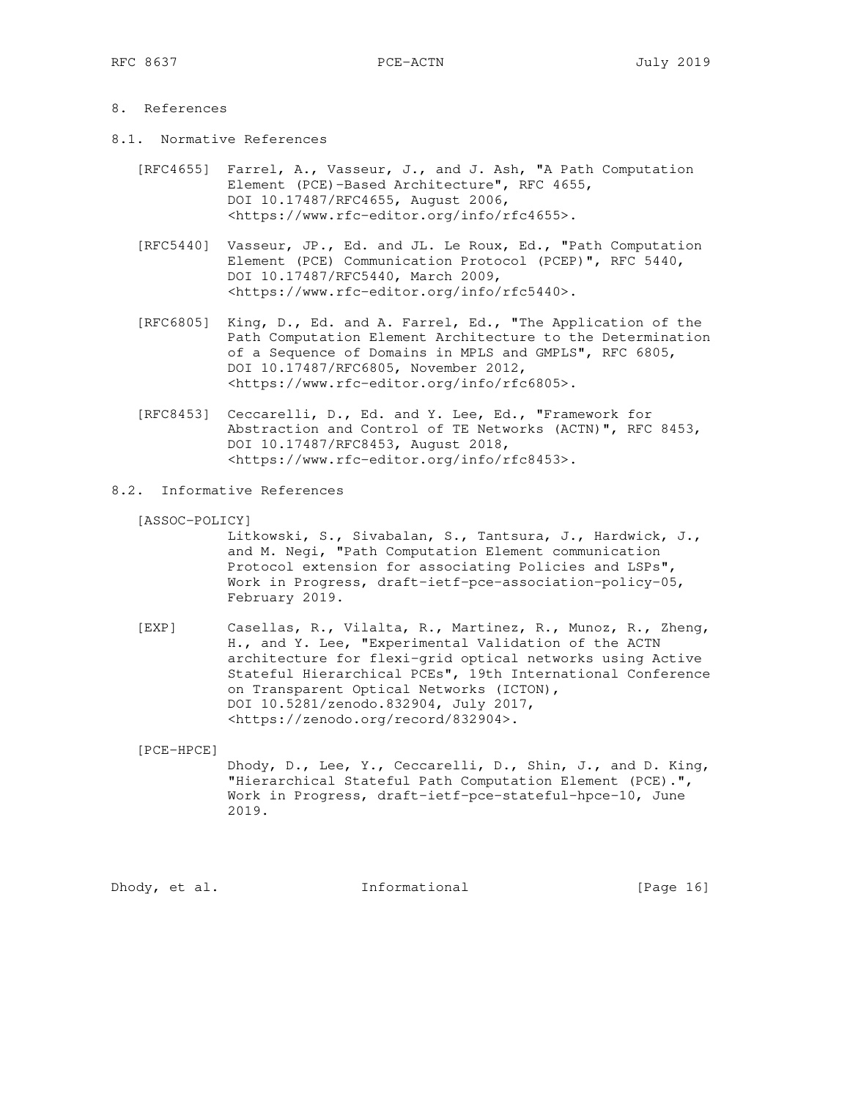## 8. References

- 8.1. Normative References
	- [RFC4655] Farrel, A., Vasseur, J., and J. Ash, "A Path Computation Element (PCE)-Based Architecture", RFC 4655, DOI 10.17487/RFC4655, August 2006, <https://www.rfc-editor.org/info/rfc4655>.
	- [RFC5440] Vasseur, JP., Ed. and JL. Le Roux, Ed., "Path Computation Element (PCE) Communication Protocol (PCEP)", RFC 5440, DOI 10.17487/RFC5440, March 2009, <https://www.rfc-editor.org/info/rfc5440>.
	- [RFC6805] King, D., Ed. and A. Farrel, Ed., "The Application of the Path Computation Element Architecture to the Determination of a Sequence of Domains in MPLS and GMPLS", RFC 6805, DOI 10.17487/RFC6805, November 2012, <https://www.rfc-editor.org/info/rfc6805>.
	- [RFC8453] Ceccarelli, D., Ed. and Y. Lee, Ed., "Framework for Abstraction and Control of TE Networks (ACTN)", RFC 8453, DOI 10.17487/RFC8453, August 2018, <https://www.rfc-editor.org/info/rfc8453>.

## 8.2. Informative References

[ASSOC-POLICY]

 Litkowski, S., Sivabalan, S., Tantsura, J., Hardwick, J., and M. Negi, "Path Computation Element communication Protocol extension for associating Policies and LSPs", Work in Progress, draft-ietf-pce-association-policy-05, February 2019.

 [EXP] Casellas, R., Vilalta, R., Martinez, R., Munoz, R., Zheng, H., and Y. Lee, "Experimental Validation of the ACTN architecture for flexi-grid optical networks using Active Stateful Hierarchical PCEs", 19th International Conference on Transparent Optical Networks (ICTON), DOI 10.5281/zenodo.832904, July 2017, <https://zenodo.org/record/832904>.

[PCE-HPCE]

 Dhody, D., Lee, Y., Ceccarelli, D., Shin, J., and D. King, "Hierarchical Stateful Path Computation Element (PCE).", Work in Progress, draft-ietf-pce-stateful-hpce-10, June 2019.

Dhody, et al. Informational [Page 16]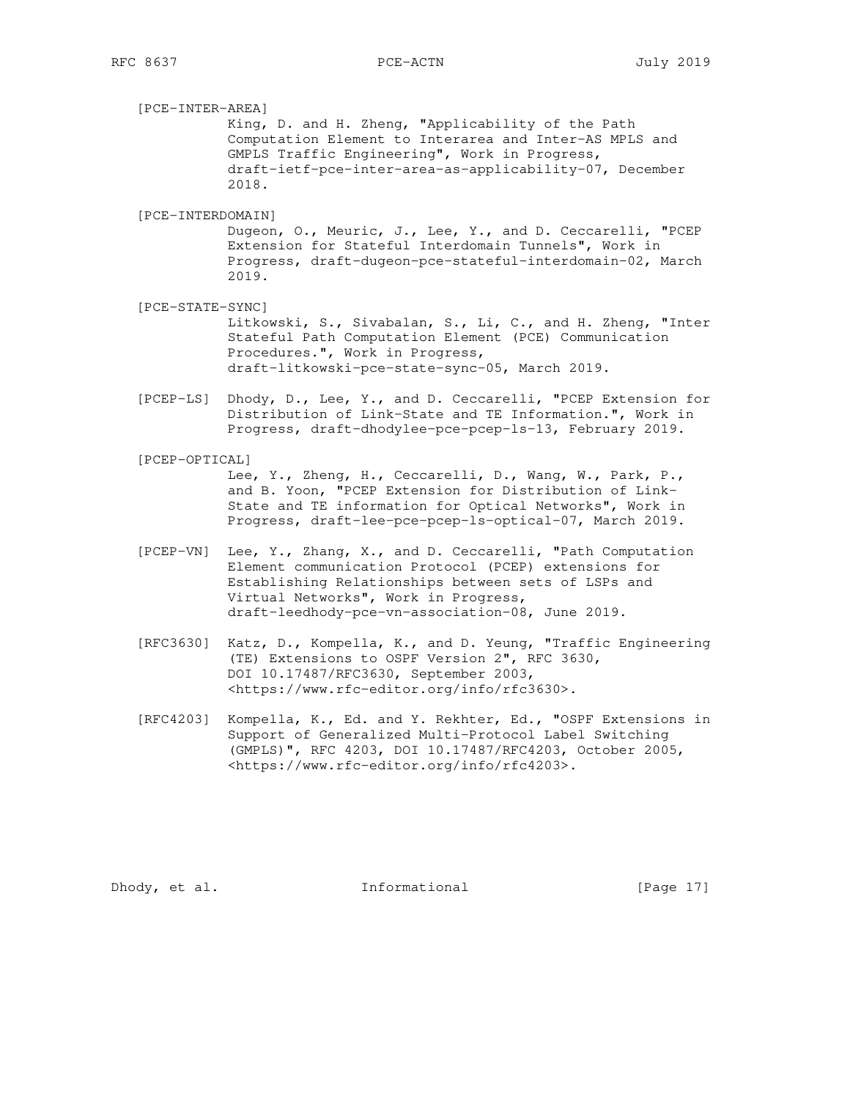[PCE-INTER-AREA] King, D. and H. Zheng, "Applicability of the Path Computation Element to Interarea and Inter-AS MPLS and GMPLS Traffic Engineering", Work in Progress, draft-ietf-pce-inter-area-as-applicability-07, December 2018. [PCE-INTERDOMAIN] Dugeon, O., Meuric, J., Lee, Y., and D. Ceccarelli, "PCEP Extension for Stateful Interdomain Tunnels", Work in Progress, draft-dugeon-pce-stateful-interdomain-02, March 2019. [PCE-STATE-SYNC]

 Litkowski, S., Sivabalan, S., Li, C., and H. Zheng, "Inter Stateful Path Computation Element (PCE) Communication Procedures.", Work in Progress, draft-litkowski-pce-state-sync-05, March 2019.

- [PCEP-LS] Dhody, D., Lee, Y., and D. Ceccarelli, "PCEP Extension for Distribution of Link-State and TE Information.", Work in Progress, draft-dhodylee-pce-pcep-ls-13, February 2019.
- [PCEP-OPTICAL] Lee, Y., Zheng, H., Ceccarelli, D., Wang, W., Park, P., and B. Yoon, "PCEP Extension for Distribution of Link- State and TE information for Optical Networks", Work in Progress, draft-lee-pce-pcep-ls-optical-07, March 2019.
- [PCEP-VN] Lee, Y., Zhang, X., and D. Ceccarelli, "Path Computation Element communication Protocol (PCEP) extensions for Establishing Relationships between sets of LSPs and Virtual Networks", Work in Progress, draft-leedhody-pce-vn-association-08, June 2019.
- [RFC3630] Katz, D., Kompella, K., and D. Yeung, "Traffic Engineering (TE) Extensions to OSPF Version 2", RFC 3630, DOI 10.17487/RFC3630, September 2003, <https://www.rfc-editor.org/info/rfc3630>.
- [RFC4203] Kompella, K., Ed. and Y. Rekhter, Ed., "OSPF Extensions in Support of Generalized Multi-Protocol Label Switching (GMPLS)", RFC 4203, DOI 10.17487/RFC4203, October 2005, <https://www.rfc-editor.org/info/rfc4203>.

Dhody, et al. Informational [Page 17]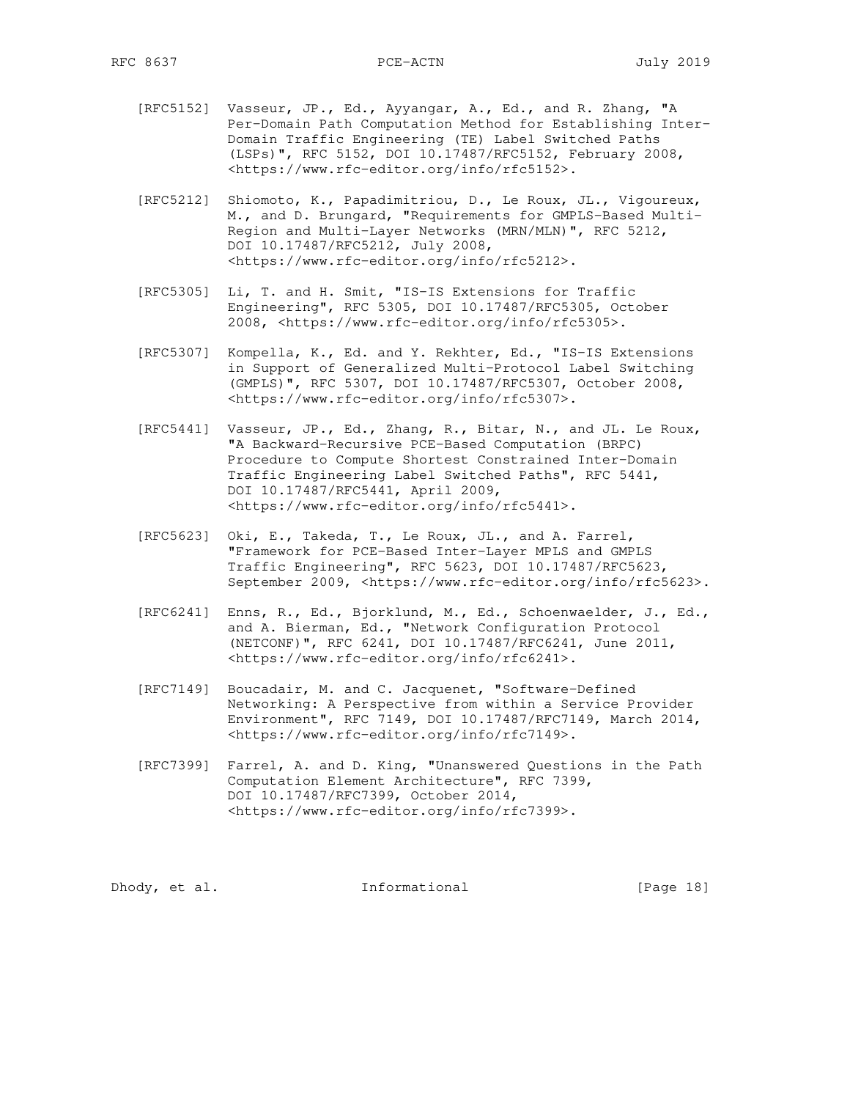- [RFC5152] Vasseur, JP., Ed., Ayyangar, A., Ed., and R. Zhang, "A Per-Domain Path Computation Method for Establishing Inter- Domain Traffic Engineering (TE) Label Switched Paths (LSPs)", RFC 5152, DOI 10.17487/RFC5152, February 2008, <https://www.rfc-editor.org/info/rfc5152>.
- [RFC5212] Shiomoto, K., Papadimitriou, D., Le Roux, JL., Vigoureux, M., and D. Brungard, "Requirements for GMPLS-Based Multi- Region and Multi-Layer Networks (MRN/MLN)", RFC 5212, DOI 10.17487/RFC5212, July 2008, <https://www.rfc-editor.org/info/rfc5212>.
- [RFC5305] Li, T. and H. Smit, "IS-IS Extensions for Traffic Engineering", RFC 5305, DOI 10.17487/RFC5305, October 2008, <https://www.rfc-editor.org/info/rfc5305>.
- [RFC5307] Kompella, K., Ed. and Y. Rekhter, Ed., "IS-IS Extensions in Support of Generalized Multi-Protocol Label Switching (GMPLS)", RFC 5307, DOI 10.17487/RFC5307, October 2008, <https://www.rfc-editor.org/info/rfc5307>.
- [RFC5441] Vasseur, JP., Ed., Zhang, R., Bitar, N., and JL. Le Roux, "A Backward-Recursive PCE-Based Computation (BRPC) Procedure to Compute Shortest Constrained Inter-Domain Traffic Engineering Label Switched Paths", RFC 5441, DOI 10.17487/RFC5441, April 2009, <https://www.rfc-editor.org/info/rfc5441>.
- [RFC5623] Oki, E., Takeda, T., Le Roux, JL., and A. Farrel, "Framework for PCE-Based Inter-Layer MPLS and GMPLS Traffic Engineering", RFC 5623, DOI 10.17487/RFC5623, September 2009, <https://www.rfc-editor.org/info/rfc5623>.
- [RFC6241] Enns, R., Ed., Bjorklund, M., Ed., Schoenwaelder, J., Ed., and A. Bierman, Ed., "Network Configuration Protocol (NETCONF)", RFC 6241, DOI 10.17487/RFC6241, June 2011, <https://www.rfc-editor.org/info/rfc6241>.
- [RFC7149] Boucadair, M. and C. Jacquenet, "Software-Defined Networking: A Perspective from within a Service Provider Environment", RFC 7149, DOI 10.17487/RFC7149, March 2014, <https://www.rfc-editor.org/info/rfc7149>.
- [RFC7399] Farrel, A. and D. King, "Unanswered Questions in the Path Computation Element Architecture", RFC 7399, DOI 10.17487/RFC7399, October 2014, <https://www.rfc-editor.org/info/rfc7399>.

Dhody, et al. 10 Informational 10 [Page 18]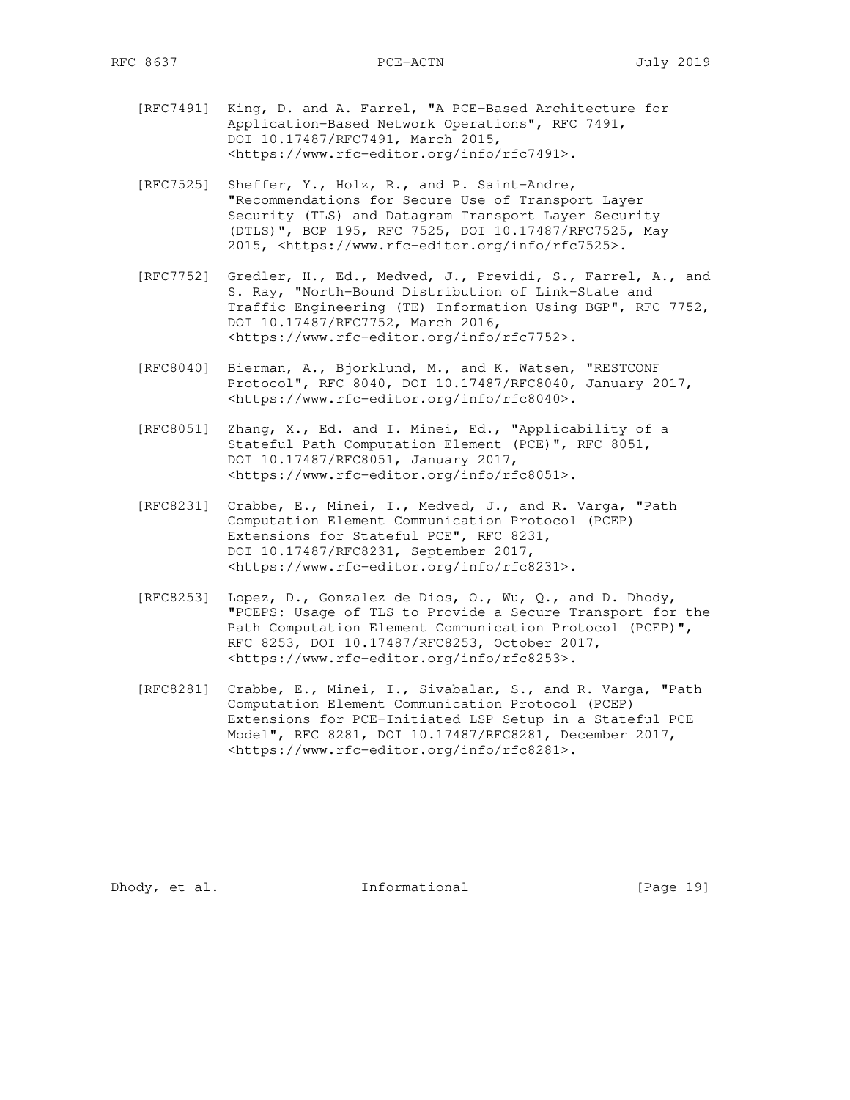- [RFC7491] King, D. and A. Farrel, "A PCE-Based Architecture for Application-Based Network Operations", RFC 7491, DOI 10.17487/RFC7491, March 2015, <https://www.rfc-editor.org/info/rfc7491>.
- [RFC7525] Sheffer, Y., Holz, R., and P. Saint-Andre, "Recommendations for Secure Use of Transport Layer Security (TLS) and Datagram Transport Layer Security (DTLS)", BCP 195, RFC 7525, DOI 10.17487/RFC7525, May 2015, <https://www.rfc-editor.org/info/rfc7525>.
- [RFC7752] Gredler, H., Ed., Medved, J., Previdi, S., Farrel, A., and S. Ray, "North-Bound Distribution of Link-State and Traffic Engineering (TE) Information Using BGP", RFC 7752, DOI 10.17487/RFC7752, March 2016, <https://www.rfc-editor.org/info/rfc7752>.
- [RFC8040] Bierman, A., Bjorklund, M., and K. Watsen, "RESTCONF Protocol", RFC 8040, DOI 10.17487/RFC8040, January 2017, <https://www.rfc-editor.org/info/rfc8040>.
- [RFC8051] Zhang, X., Ed. and I. Minei, Ed., "Applicability of a Stateful Path Computation Element (PCE)", RFC 8051, DOI 10.17487/RFC8051, January 2017, <https://www.rfc-editor.org/info/rfc8051>.
- [RFC8231] Crabbe, E., Minei, I., Medved, J., and R. Varga, "Path Computation Element Communication Protocol (PCEP) Extensions for Stateful PCE", RFC 8231, DOI 10.17487/RFC8231, September 2017, <https://www.rfc-editor.org/info/rfc8231>.
- [RFC8253] Lopez, D., Gonzalez de Dios, O., Wu, Q., and D. Dhody, "PCEPS: Usage of TLS to Provide a Secure Transport for the Path Computation Element Communication Protocol (PCEP)", RFC 8253, DOI 10.17487/RFC8253, October 2017, <https://www.rfc-editor.org/info/rfc8253>.
- [RFC8281] Crabbe, E., Minei, I., Sivabalan, S., and R. Varga, "Path Computation Element Communication Protocol (PCEP) Extensions for PCE-Initiated LSP Setup in a Stateful PCE Model", RFC 8281, DOI 10.17487/RFC8281, December 2017, <https://www.rfc-editor.org/info/rfc8281>.

Dhody, et al. Informational [Page 19]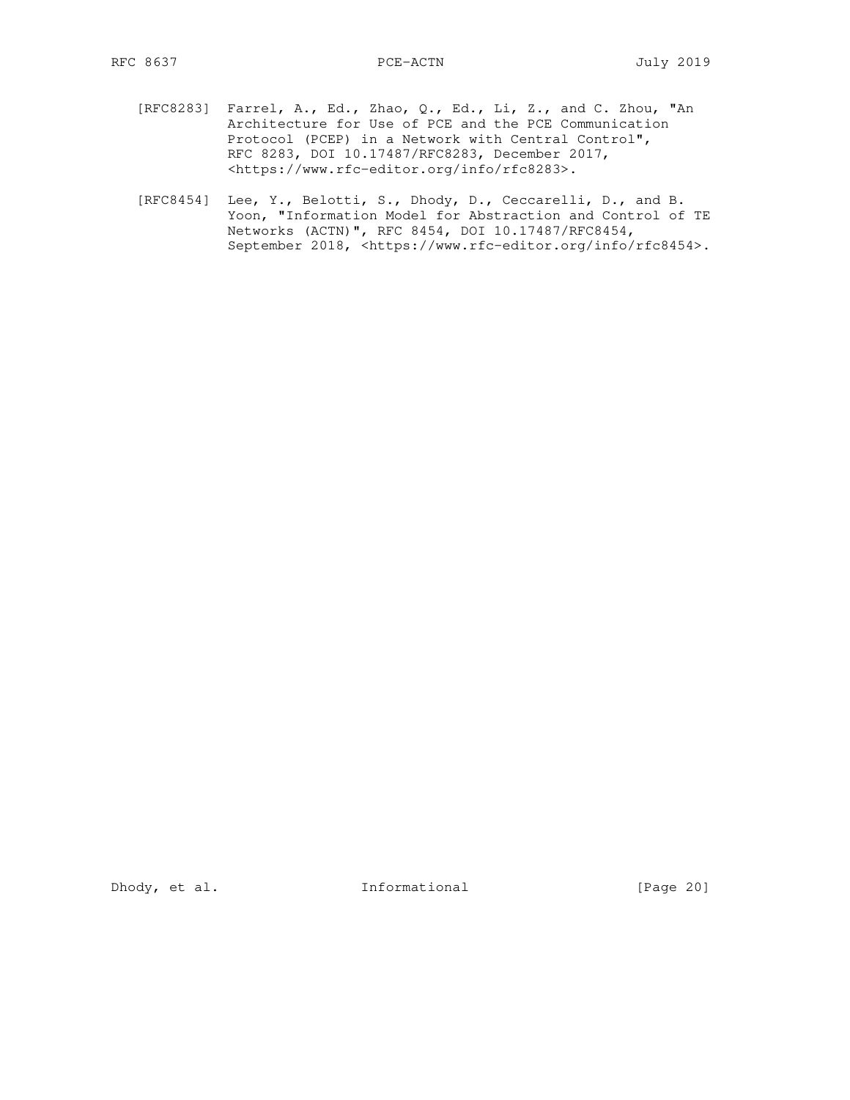- [RFC8283] Farrel, A., Ed., Zhao, Q., Ed., Li, Z., and C. Zhou, "An Architecture for Use of PCE and the PCE Communication Protocol (PCEP) in a Network with Central Control", RFC 8283, DOI 10.17487/RFC8283, December 2017, <https://www.rfc-editor.org/info/rfc8283>.
- [RFC8454] Lee, Y., Belotti, S., Dhody, D., Ceccarelli, D., and B. Yoon, "Information Model for Abstraction and Control of TE Networks (ACTN)", RFC 8454, DOI 10.17487/RFC8454, September 2018, <https://www.rfc-editor.org/info/rfc8454>.

Dhody, et al. 1nformational [Page 20]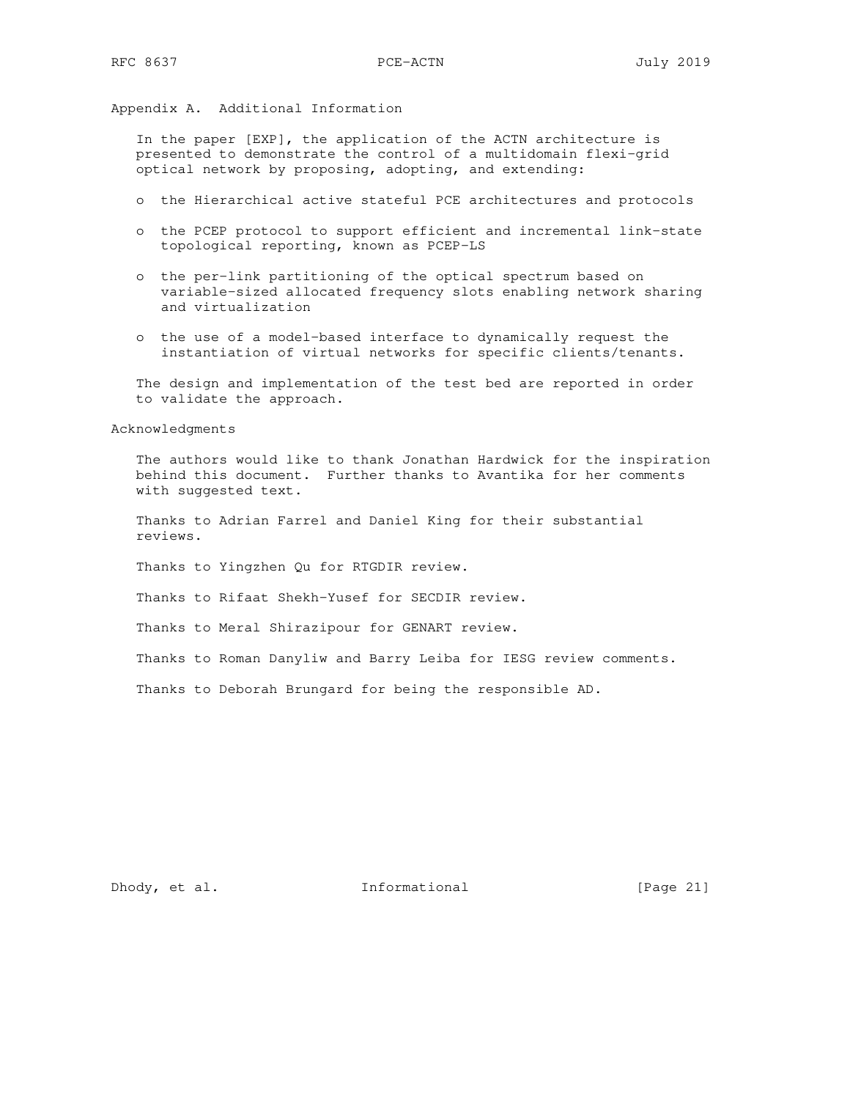Appendix A. Additional Information

 In the paper [EXP], the application of the ACTN architecture is presented to demonstrate the control of a multidomain flexi-grid optical network by proposing, adopting, and extending:

- o the Hierarchical active stateful PCE architectures and protocols
- o the PCEP protocol to support efficient and incremental link-state topological reporting, known as PCEP-LS
- o the per-link partitioning of the optical spectrum based on variable-sized allocated frequency slots enabling network sharing and virtualization
- o the use of a model-based interface to dynamically request the instantiation of virtual networks for specific clients/tenants.

 The design and implementation of the test bed are reported in order to validate the approach.

Acknowledgments

 The authors would like to thank Jonathan Hardwick for the inspiration behind this document. Further thanks to Avantika for her comments with suggested text.

 Thanks to Adrian Farrel and Daniel King for their substantial reviews.

Thanks to Yingzhen Qu for RTGDIR review.

Thanks to Rifaat Shekh-Yusef for SECDIR review.

Thanks to Meral Shirazipour for GENART review.

Thanks to Roman Danyliw and Barry Leiba for IESG review comments.

Thanks to Deborah Brungard for being the responsible AD.

Dhody, et al. 1nformational [Page 21]